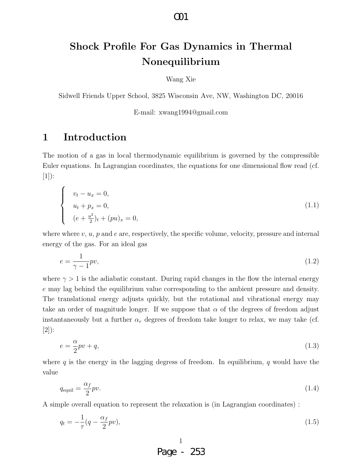# **Shock Profile For Gas Dynamics in Thermal Nonequilibrium**

Wang Xie

Sidwell Friends Upper School, 3825 Wisconsin Ave, NW, Washington DC, 20016

E-mail: xwang1994@gmail.com

# **1 Introduction**

The motion of a gas in local thermodynamic equilibrium is governed by the compressible Euler equations. In Lagrangian coordinates, the equations for one dimensional flow read (cf.  $[1]$ :

$$
\begin{cases}\n v_t - u_x = 0, \\
 u_t + p_x = 0, \\
 (e + \frac{u^2}{2})_t + (pu)_x = 0,\n\end{cases}
$$
\n(1.1)

where where *v*, *u*, *p* and *e* are, respectively, the specific volume, velocity, pressure and internal energy of the gas. For an ideal gas

$$
e = \frac{1}{\gamma - 1}pv,\tag{1.2}
$$

where  $\gamma > 1$  is the adiabatic constant. During rapid changes in the flow the internal energy *e* may lag behind the equilibrium value corresponding to the ambient pressure and density. The translational energy adjusts quickly, but the rotational and vibrational energy may take an order of magnitude longer. If we suppose that  $\alpha$  of the degrees of freedom adjust instantaneously but a further  $\alpha_r$  degrees of freedom take longer to relax, we may take (cf. [2]):

$$
e = \frac{\alpha}{2}pv + q,\tag{1.3}
$$

where *q* is the energy in the lagging degress of freedom. In equilibrium, *q* would have the value

$$
q_{\text{equil}} = \frac{\alpha_f}{2} p v. \tag{1.4}
$$

A simple overall equation to represent the relaxation is (in Lagrangian coordinates) :

$$
q_t = -\frac{1}{\tau}(q - \frac{\alpha_f}{2}pv),\tag{1.5}
$$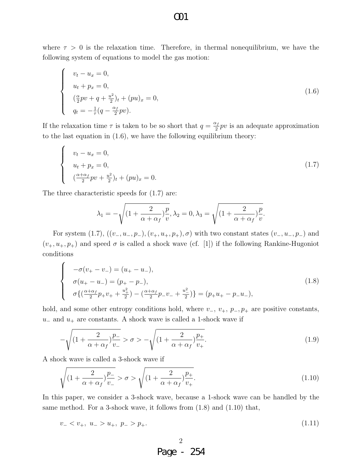#### where  $\tau > 0$  is the relaxation time. Therefore, in thermal nonequilibrium, we have the following system of equations to model the gas motion:

$$
\begin{cases}\n v_t - u_x = 0, \\
 u_t + p_x = 0, \\
 (\frac{\alpha}{2}pv + q + \frac{u^2}{2})_t + (pu)_x = 0, \\
 q_t = -\frac{1}{\tau}(q - \frac{\alpha_f}{2}pv).\n\end{cases}
$$
\n(1.6)

If the relaxation time  $\tau$  is taken to be so short that  $q = \frac{\alpha_f}{2}$  $\frac{x_f}{2}pv$  is an adequate approximation to the last equation in (1.6), we have the following equilibrium theory:

$$
\begin{cases}\n v_t - u_x = 0, \\
 u_t + p_x = 0, \\
 (\frac{\alpha + \alpha_f}{2}pv + \frac{u^2}{2})_t + (pu)_x = 0.\n\end{cases}
$$
\n(1.7)

The three characteristic speeds for (1.7) are:

$$
\lambda_1 = -\sqrt{\left(1 + \frac{2}{\alpha + \alpha_f}\right)\frac{p}{v}}, \lambda_2 = 0, \lambda_3 = \sqrt{\left(1 + \frac{2}{\alpha + \alpha_f}\right)\frac{p}{v}}.
$$

For system (1.7),  $((v_-, u_-, p_-), (v_+, u_+, p_+), \sigma)$  with two constant states  $(v_-, u_-, p_-)$  and  $(v_{+}, u_{+}, p_{+})$  and speed  $\sigma$  is called a shock wave (cf. [1]) if the following Rankine-Hugoniot conditions

$$
\begin{cases}\n-\sigma(v_{+}-v_{-}) = (u_{+}-u_{-}), \\
\sigma(u_{+}-u_{-}) = (p_{+}-p_{-}), \\
\sigma\left\{\left(\frac{\alpha+\alpha_{f}}{2}p_{+}v_{+}+\frac{u_{+}^{2}}{2}\right)-\left(\frac{\alpha+\alpha_{f}}{2}p_{-}v_{-}+\frac{u_{-}^{2}}{2}\right)\right\} = (p_{+}u_{+}-p_{-}u_{-}),\n\end{cases} \tag{1.8}
$$

hold, and some other entropy conditions hold, where *v−*, *v*+, *p−, p*<sup>+</sup> are positive constants, *u*<sup>−</sup> and *u*<sup>+</sup> are constants. A shock wave is called a 1-shock wave if

$$
-\sqrt{(1+\frac{2}{\alpha+\alpha_f}\frac{p_{-}}{v_{-}}}>\sigma>-\sqrt{(1+\frac{2}{\alpha+\alpha_f}\frac{p_{+}}{v_{+}})}.
$$
\n(1.9)

A shock wave is called a 3-shock wave if

$$
\sqrt{\left(1+\frac{2}{\alpha+\alpha_f}\right)^{p-}_{v_-}} > \sigma > \sqrt{\left(1+\frac{2}{\alpha+\alpha_f}\right)^{p+}_{v_+}}.
$$
\n(1.10)

In this paper, we consider a 3-shock wave, because a 1-shock wave can be handled by the same method. For a 3-shock wave, it follows from (1.8) and (1.10) that,

$$
v_- < v_+, \ u_- > u_+, \ p_- > p_+.\tag{1.11}
$$

## O01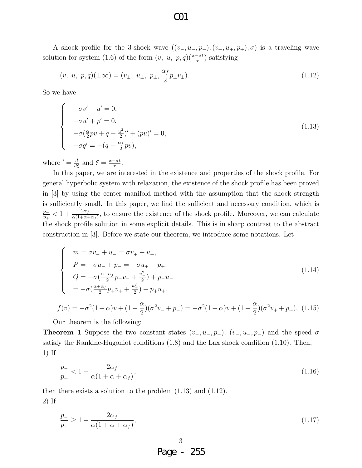A shock profile for the 3-shock wave  $((v_-, u_-, p_-), (v_+, u_+, p_+), \sigma)$  is a traveling wave solution for system (1.6) of the form  $(v, u, p, q)$  $(\frac{x-\sigma t}{\tau})$  satisfying

$$
(v, u, p, q)(\pm \infty) = (v_{\pm}, u_{\pm}, p_{\pm}, \frac{\alpha_f}{2} p_{\pm} v_{\pm}).
$$
\n(1.12)

So we have

$$
\begin{cases}\n-\sigma v' - u' = 0, \\
-\sigma u' + p' = 0, \\
-\sigma (\frac{\alpha}{2}pv + q + \frac{u^2}{2})' + (pu)' = 0, \\
-\sigma q' = -(q - \frac{\alpha_f}{2}pv),\n\end{cases}
$$
\n(1.13)

where  $' = \frac{d}{d\xi}$  and  $\xi = \frac{x - \sigma t}{\tau}$ .

In this paper, we are interested in the existence and properties of the shock profile. For general hyperbolic system with relaxation, the existence of the shock profile has been proved in [3] by using the center manifold method with the assumption that the shock strength is sufficiently small. In this paper, we find the sufficient and necessary condition, which is  $\frac{p_{-}}{p_{+}} < 1 + \frac{2\alpha_f}{\alpha(1+\alpha+\alpha_f)}$ , to ensure the existence of the shock profile. Moreover, we can calculate the shock profile solution in some explicit details. This is in sharp contrast to the abstract construction in [3]. Before we state our theorem, we introduce some notations. Let

$$
\begin{cases}\n m = \sigma v_{-} + u_{-} = \sigma v_{+} + u_{+}, \\
 P = -\sigma u_{-} + p_{-} = -\sigma u_{+} + p_{+}, \\
 Q = -\sigma \left( \frac{\alpha + \alpha_{f}}{2} p_{-} v_{-} + \frac{u_{-}^{2}}{2} \right) + p_{-} u_{-} \\
 = -\sigma \left( \frac{\alpha + \alpha_{f}}{2} p_{+} v_{+} + \frac{u_{+}^{2}}{2} \right) + p_{+} u_{+}, \\
 f(v) = -\sigma^{2} (1 + \alpha) v + (1 + \frac{\alpha}{2}) (\sigma^{2} v_{-} + p_{-}) = -\sigma^{2} (1 + \alpha) v + (1 + \frac{\alpha}{2}) (\sigma^{2} v_{+} + p_{+}).\n \end{cases}
$$
\n(1.14)

Our theorem is the following:

**Theorem 1** Suppose the two constant states  $(v_-, u_-, p_-)$ ,  $(v_-, u_-, p_-)$  and the speed  $\sigma$ satisfy the Rankine-Hugoniot conditions (1.8) and the Lax shock condition (1.10). Then, 1) If

$$
\frac{p_-}{p_+} < 1 + \frac{2\alpha_f}{\alpha(1 + \alpha + \alpha_f)},\tag{1.16}
$$

then there exists a solution to the problem (1.13) and (1.12). 2) If

$$
\frac{p_{-}}{p_{+}} \ge 1 + \frac{2\alpha_{f}}{\alpha(1 + \alpha + \alpha_{f})},\tag{1.17}
$$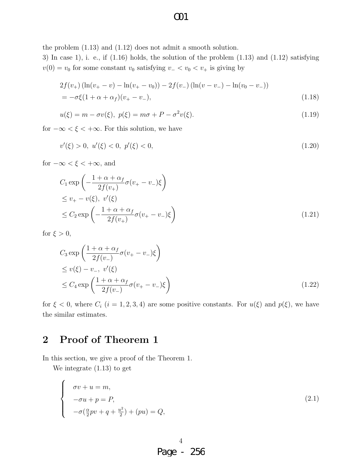the problem (1.13) and (1.12) does not admit a smooth solution.

3) In case 1), i. e., if  $(1.16)$  holds, the solution of the problem  $(1.13)$  and  $(1.12)$  satisfying  $v(0) = v_0$  for some constant  $v_0$  satisfying  $v_0 < v_0 < v_+$  is giving by

$$
2f(v_{+}) (\ln(v_{+}-v) - \ln(v_{+}-v_{0})) - 2f(v_{-}) (\ln(v-v_{-}) - \ln(v_{0}-v_{-}))
$$
  
=  $-\sigma \xi (1 + \alpha + \alpha_{f})(v_{+}-v_{-}),$  (1.18)

$$
u(\xi) = m - \sigma v(\xi), \ p(\xi) = m\sigma + P - \sigma^2 v(\xi). \tag{1.19}
$$

for  $-\infty < \xi < +\infty$ . For this solution, we have

$$
v'(\xi) > 0, \ u'(\xi) < 0, \ p'(\xi) < 0,\tag{1.20}
$$

for  $-\infty < \xi < +\infty$ , and

$$
C_1 \exp\left(-\frac{1+\alpha+\alpha_f}{2f(v_+)}\sigma(v_+-v_-)\xi\right)
$$
  
\n
$$
\leq v_+-v(\xi), \ v'(\xi)
$$
  
\n
$$
\leq C_2 \exp\left(-\frac{1+\alpha+\alpha_f}{2f(v_+)}\sigma(v_+-v_-)\xi\right)
$$
\n(1.21)

for  $\xi > 0$ ,

$$
C_3 \exp\left(\frac{1+\alpha+\alpha_f}{2f(v_-)}\sigma(v_+-v_-)\xi\right)
$$
  
\n
$$
\leq v(\xi) - v_-, v'(\xi)
$$
  
\n
$$
\leq C_4 \exp\left(\frac{1+\alpha+\alpha_f}{2f(v_-)}\sigma(v_+-v_-)\xi\right)
$$
\n(1.22)

for  $\xi$  < 0, where  $C_i$  ( $i = 1, 2, 3, 4$ ) are some positive constants. For  $u(\xi)$  and  $p(\xi)$ , we have the similar estimates.

# **2 Proof of Theorem 1**

In this section, we give a proof of the Theorem 1.

We integrate (1.13) to get

$$
\begin{cases}\n\sigma v + u = m, \\
-\sigma u + p = P, \\
-\sigma(\frac{\alpha}{2}pv + q + \frac{u^2}{2}) + (pu) = Q,\n\end{cases}
$$
\n(2.1)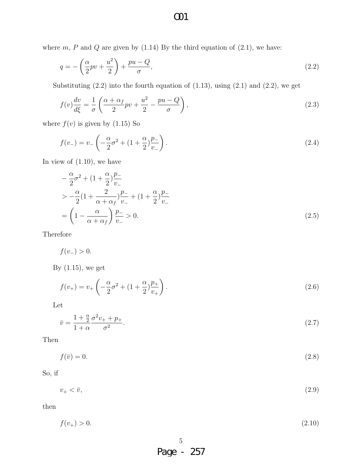where  $m$ ,  $P$  and  $Q$  are given by  $(1.14)$  By the third equation of  $(2.1)$ , we have:

$$
q = -\left(\frac{\alpha}{2}pv + \frac{u^2}{2}\right) + \frac{pu - Q}{\sigma},\tag{2.2}
$$

Substituting  $(2.2)$  into the fourth equation of  $(1.13)$ , using  $(2.1)$  and  $(2.2)$ , we get

$$
f(v)\frac{dv}{d\xi} = \frac{1}{\sigma} \left( \frac{\alpha + \alpha_f}{2} pv + \frac{u^2}{2} - \frac{pu - Q}{\sigma} \right),\tag{2.3}
$$

where  $f(v)$  is given by  $(1.15)$  So

$$
f(v_{-}) = v_{-} \left( -\frac{\alpha}{2} \sigma^{2} + (1 + \frac{\alpha}{2}) \frac{p_{-}}{v_{-}} \right). \tag{2.4}
$$

In view of  $(1.10)$ , we have

$$
-\frac{\alpha}{2}\sigma^2 + (1+\frac{\alpha}{2})\frac{p_-}{v_-}
$$
  
> 
$$
-\frac{\alpha}{2}(1+\frac{2}{\alpha+\alpha_f})\frac{p_-}{v_-} + (1+\frac{\alpha}{2})\frac{p_-}{v_-}
$$
  
= 
$$
\left(1-\frac{\alpha}{\alpha+\alpha_f}\right)\frac{p_-}{v_-} > 0.
$$
 (2.5)

Therefore

*f*(*v*<sup>−</sup>) > 0*.* 

By (1.15), we get

$$
f(v_{+}) = v_{+} \left( -\frac{\alpha}{2} \sigma^{2} + (1 + \frac{\alpha}{2}) \frac{p_{+}}{v_{+}} \right). \tag{2.6}
$$

Let

$$
\bar{v} = \frac{1 + \frac{\alpha}{2}}{1 + \alpha} \frac{\sigma^2 v_+ + p_+}{\sigma^2}.
$$
\n
$$
(2.7)
$$

Then

$$
f(\bar{v}) = 0.\tag{2.8}
$$

So, if

$$
v_{+} < \bar{v},\tag{2.9}
$$

then

$$
f(v_+) > 0.\t\t(2.10)
$$

# O01

5 Page - 257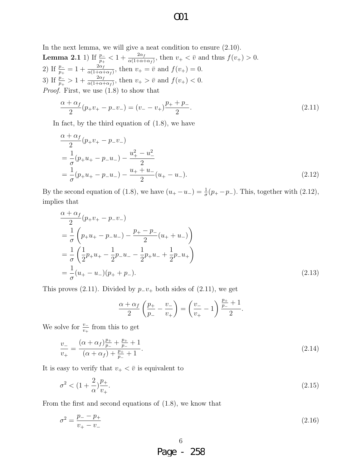In the next lemma, we will give a neat condition to ensure (2.10). **Lemma 2.1** 1) If  $\frac{p_{-}}{p_{+}} < 1 + \frac{2\alpha_{f}}{\alpha(1+\alpha+\alpha_{f})}$ , then  $v_{+} < \bar{v}$  and thus  $f(v_{+}) > 0$ . 2) If  $\frac{p_{-}}{p_{+}} = 1 + \frac{2\alpha_{f}}{\alpha(1+\alpha)}$  $\frac{2\alpha_f}{\alpha(1+\alpha+\alpha_f)}$ , then  $v_+ = \bar{v}$  and  $f(v_+) = 0$ . 3) If  $\frac{p_{-}}{p_{+}} > 1 + \frac{2\alpha_{f}}{\alpha(1+\alpha+\alpha_{f})}$ , then  $v_{+} > \bar{v}$  and  $f(v_{+}) < 0$ . *Proof.* First, we use (1.8) to show that

$$
\frac{\alpha + \alpha_f}{2}(p_+v_+ - p_-v_-) = (v_- - v_+)\frac{p_+ + p_-}{2}.
$$
\n(2.11)

In fact, by the third equation of (1.8), we have

$$
\frac{\alpha + \alpha_f}{2} (p_+ v_+ - p_- v_-)
$$
  
=  $\frac{1}{\sigma} (p_+ u_+ - p_- u_-) - \frac{u_+^2 - u_-^2}{2}$   
=  $\frac{1}{\sigma} (p_+ u_+ - p_- u_-) - \frac{u_+ + u_-}{2} (u_+ - u_-).$  (2.12)

By the second equation of (1.8), we have  $(u_{+} - u_{-}) = \frac{1}{\sigma}(p_{+} - p_{-})$ . This, together with (2.12), implies that

$$
\frac{\alpha + \alpha_f}{2} (p_+ v_+ - p_- v_-)
$$
\n
$$
= \frac{1}{\sigma} \left( p_+ u_+ - p_- u_- \right) - \frac{p_+ - p_-}{2} (u_+ + u_-)
$$
\n
$$
= \frac{1}{\sigma} \left( \frac{1}{2} p_+ u_+ - \frac{1}{2} p_- u_- - \frac{1}{2} p_+ u_- + \frac{1}{2} p_- u_+ \right)
$$
\n
$$
= \frac{1}{\sigma} (u_+ - u_-) (p_+ + p_-).
$$
\n(2.13)

This proves (2.11). Divided by  $p_2v_+$  both sides of (2.11), we get

$$
\frac{\alpha + \alpha_f}{2} \left( \frac{p_+}{p_-} - \frac{v_-}{v_+} \right) = \left( \frac{v_-}{v_+} - 1 \right) \frac{\frac{p_+}{p_-} + 1}{2}.
$$

We solve for  $\frac{v-}{v_+}$  from this to get

$$
\frac{v_{-}}{v_{+}} = \frac{(\alpha + \alpha_{f})\frac{p_{+}}{p_{-}} + \frac{p_{+}}{p_{-}} + 1}{(\alpha + \alpha_{f}) + \frac{p_{+}}{p_{-}} + 1}.
$$
\n(2.14)

It is easy to verify that  $v_+ < \bar{v}$  is equivalent to

$$
\sigma^2 < \left(1 + \frac{2}{\alpha}\right) \frac{p_+}{v_+}.\tag{2.15}
$$

From the first and second equations of (1.8), we know that

$$
\sigma^2 = \frac{p_{-} - p_{+}}{v_{+} - v_{-}}\tag{2.16}
$$

# Page - 258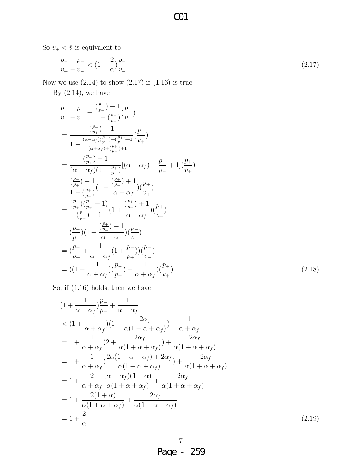So  $v_+ < \bar{v}$  is equivalent to

$$
\frac{p_{-} - p_{+}}{v_{+} - v_{-}} < (1 + \frac{2}{\alpha})\frac{p_{+}}{v_{+}}\tag{2.17}
$$

**CO1** 

Now we use  $(2.14)$  to show  $(2.17)$  if  $(1.16)$  is true.

By  $(2.14)$ , we have

$$
\frac{p_{-} - p_{+}}{v_{+} - v_{-}} = \frac{\binom{p_{-}}{p_{+}} - 1}{1 - \binom{v_{-}}{v_{+}}} \left(\frac{p_{+}}{v_{+}}\right)
$$
\n
$$
= \frac{\binom{p_{-}}{p_{+}} - 1}{1 - \frac{(\alpha + \alpha_{f})(\frac{p_{+}}{p_{-}}) + (\frac{p_{+}}{p_{-}}) + 1}{(\alpha + \alpha_{f})(\frac{p_{+}}{p_{-}}) + 1}} \left(\frac{p_{+}}{v_{+}}\right)
$$
\n
$$
= \frac{\binom{p_{-}}{p_{+}} - 1}{(\alpha + \alpha_{f})(1 - \frac{p_{+}}{p_{-}})} \left[(\alpha + \alpha_{f}) + \frac{p_{+}}{p_{-}} + 1\right] \left(\frac{p_{+}}{v_{+}}\right)
$$
\n
$$
= \frac{\binom{p_{-}}{p_{+}} - 1}{1 - \binom{p_{+}}{p_{-}}} \left(1 + \frac{\binom{p_{+}}{p_{-}} + 1}{\alpha + \alpha_{f}}\right) \left(\frac{p_{+}}{v_{+}}\right)
$$
\n
$$
= \frac{\binom{p_{-}}{p_{+}} \left(\frac{p_{-}}{p_{-}} - 1\right)}{\binom{p_{-}}{p_{+}}} \left(1 + \frac{\binom{p_{+}}{p_{-}} + 1}{\alpha + \alpha_{f}}\right) \left(\frac{p_{+}}{v_{+}}\right)
$$
\n
$$
= \left(\frac{p_{-}}{p_{+}}\right) \left(1 + \frac{\binom{p_{+}}{p_{-}} + 1}{\alpha + \alpha_{f}}\right) \left(\frac{p_{+}}{v_{+}}\right)
$$
\n
$$
= \left(\frac{p_{-}}{p_{+}} + \frac{1}{\alpha + \alpha_{f}} \left(1 + \frac{p_{-}}{p_{+}}\right)\right) \left(\frac{p_{+}}{v_{+}}\right)
$$
\n
$$
= \left(1 + \frac{1}{\alpha + \alpha_{f}}\right) \left(\frac{p_{-}}{p_{+}}\right) + \frac{1}{\alpha + \alpha_{f}}\right) \left(\frac{p_{+}}{v_{+}}\right)
$$
\n(2.18)

So, if (1.16) holds, then we have

$$
(1 + \frac{1}{\alpha + \alpha_f} \frac{p_{-}}{p_{+}} + \frac{1}{\alpha + \alpha_f}
$$
  
\n
$$
< (1 + \frac{1}{\alpha + \alpha_f} \frac{2\alpha_f}{(1 + \alpha + \alpha_f)}) + \frac{1}{\alpha + \alpha_f}
$$
  
\n
$$
= 1 + \frac{1}{\alpha + \alpha_f} \left(2 + \frac{2\alpha_f}{\alpha(1 + \alpha + \alpha_f)}\right) + \frac{2\alpha_f}{\alpha(1 + \alpha + \alpha_f)}
$$
  
\n
$$
= 1 + \frac{1}{\alpha + \alpha_f} \left(\frac{2\alpha(1 + \alpha + \alpha_f) + 2\alpha_f}{\alpha(1 + \alpha + \alpha_f)}\right) + \frac{2\alpha_f}{\alpha(1 + \alpha + \alpha_f)}
$$
  
\n
$$
= 1 + \frac{2}{\alpha + \alpha_f} \frac{(\alpha + \alpha_f)(1 + \alpha)}{\alpha(1 + \alpha + \alpha_f)} + \frac{2\alpha_f}{\alpha(1 + \alpha + \alpha_f)}
$$
  
\n
$$
= 1 + \frac{2(1 + \alpha)}{\alpha(1 + \alpha + \alpha_f)} + \frac{2\alpha_f}{\alpha(1 + \alpha + \alpha_f)}
$$
  
\n
$$
= 1 + \frac{2}{\alpha}
$$
 (2.19)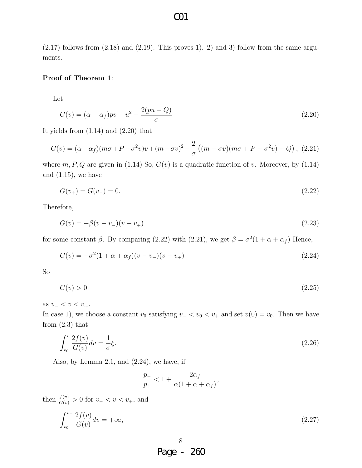$(2.17)$  follows from  $(2.18)$  and  $(2.19)$ . This proves 1). 2) and 3) follow from the same arguments.

#### **Proof of Theorem 1**:

Let

$$
G(v) = (\alpha + \alpha_f)pv + u^2 - \frac{2(pu - Q)}{\sigma}
$$
\n(2.20)

It yields from  $(1.14)$  and  $(2.20)$  that

$$
G(v) = (\alpha + \alpha_f)(m\sigma + P - \sigma^2 v)v + (m - \sigma v)^2 - \frac{2}{\sigma}((m - \sigma v)(m\sigma + P - \sigma^2 v) - Q), (2.21)
$$

where  $m, P, Q$  are given in (1.14) So,  $G(v)$  is a quadratic function of *v*. Moreover, by (1.14) and  $(1.15)$ , we have

$$
G(v_+) = G(v_-) = 0.\t\t(2.22)
$$

Therefore,

$$
G(v) = -\beta(v - v_{-})(v - v_{+})
$$
\n(2.23)

for some constant *β*. By comparing (2.22) with (2.21), we get  $\beta = \sigma^2(1 + \alpha + \alpha_f)$  Hence,

$$
G(v) = -\sigma^2 (1 + \alpha + \alpha_f)(v - v_{-})(v - v_{+})
$$
\n(2.24)

So

$$
G(v) > 0 \tag{2.25}
$$

as *v<sup>−</sup> < v < v*+.

In case 1), we choose a constant  $v_0$  satisfying  $v_-\langle v_0 \rangle \langle v_+$  and set  $v(0) = v_0$ . Then we have from  $(2.3)$  that

$$
\int_{v_0}^v \frac{2f(v)}{G(v)} dv = \frac{1}{\sigma} \xi. \tag{2.26}
$$

Also, by Lemma 2.1, and  $(2.24)$ , we have, if

$$
\frac{p_-}{p_+}<1+\frac{2\alpha_f}{\alpha(1+\alpha+\alpha_f)},
$$

then  $\frac{f(v)}{G(v)} > 0$  for  $v - < v < v_{+}$ , and

$$
\int_{v_0}^{v_+} \frac{2f(v)}{G(v)} dv = +\infty,
$$
\n(2.27)

# Page - 260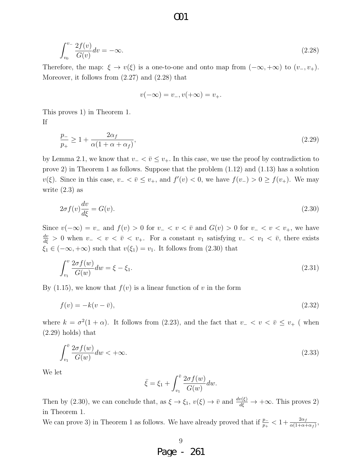$$
\int_{v_0}^{v_-} \frac{2f(v)}{G(v)} dv = -\infty.
$$
\n(2.28)

Therefore, the map:  $\xi \to v(\xi)$  is a one-to-one and onto map from  $(-\infty, +\infty)$  to  $(v_-, v_+)$ . Moreover, it follows from  $(2.27)$  and  $(2.28)$  that

O01

$$
v(-\infty) = v_-, v(+\infty) = v_+.
$$

This proves 1) in Theorem 1. If

$$
\frac{p_-}{p_+} \ge 1 + \frac{2\alpha_f}{\alpha(1 + \alpha + \alpha_f)},\tag{2.29}
$$

by Lemma 2.1, we know that  $v$ <sup>*−*</sup>  $\leq v$ <sup></sup>+. In this case, we use the proof by contradiction to prove 2) in Theorem 1 as follows. Suppose that the problem (1.12) and (1.13) has a solution *v*( $\xi$ ). Since in this case,  $v$ <sub>−</sub>  $\lt \bar{v}$   $\le v$ <sub>+</sub>, and  $f'(v) < 0$ , we have  $f(v) > 0 \ge f(v)$ . We may write (2.3) as

$$
2\sigma f(v)\frac{dv}{d\xi} = G(v). \tag{2.30}
$$

Since  $v(-\infty) = v_-\text{ and } f(v) > 0 \text{ for } v_- < v < \bar{v} \text{ and } G(v) > 0 \text{ for } v_- < v < v_+$ , we have  $\frac{dv}{d\xi}$  > 0 when  $v$ <sub>−</sub>  $\lt v$   $\lt \bar{v}$   $\lt v$  +. For a constant  $v_1$  satisfying  $v$ <sub>−</sub>  $\lt v$ <sub>1</sub>  $\lt \bar{v}$ , there exists  $\xi_1 \in (-\infty, +\infty)$  such that  $v(\xi_1) = v_1$ . It follows from (2.30) that

$$
\int_{v_1}^{v} \frac{2\sigma f(w)}{G(w)} dw = \xi - \xi_1.
$$
\n(2.31)

By  $(1.15)$ , we know that  $f(v)$  is a linear function of v in the form

$$
f(v) = -k(v - \bar{v}),\tag{2.32}
$$

where  $k = \sigma^2(1 + \alpha)$ . It follows from (2.23), and the fact that  $v - < v < \overline{v} \le v_+$  (when (2.29) holds) that

$$
\int_{v_1}^{\bar{v}} \frac{2\sigma f(w)}{G(w)} dw < +\infty.
$$
\n(2.33)

We let

$$
\bar{\xi} = \xi_1 + \int_{v_1}^{\bar{v}} \frac{2\sigma f(w)}{G(w)} dw.
$$

Then by (2.30), we can conclude that, as  $\xi \to \xi_1$ ,  $v(\xi) \to \bar{v}$  and  $\frac{dv(\xi)}{d\xi} \to +\infty$ . This proves 2) in Theorem 1.

We can prove 3) in Theorem 1 as follows. We have already proved that if  $\frac{p_+}{p_+} < 1 + \frac{2\alpha_f}{\alpha(1+\alpha+\alpha_f)}$ ,